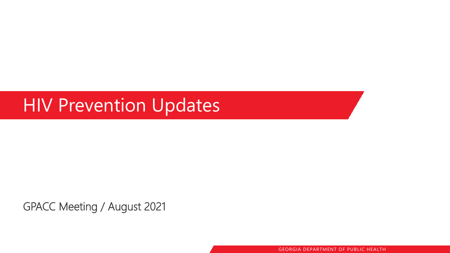### HIV Prevention Updates

GPACC Meeting / August 2021

GEORGIA DEPARTMENT OF PUBLIC HEALTH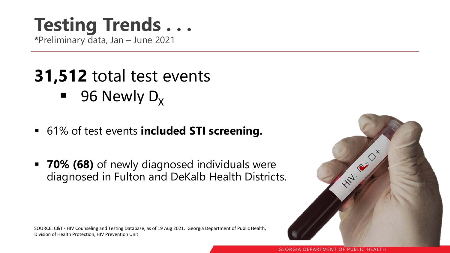## **Testing Trends . . .**

**\***Preliminary data, Jan – June 2021

### **31,512** total test events

- **96 Newly D<sub>x</sub>**
- 61% of test events **included STI screening.**
- **70% (68)** of newly diagnosed individuals were diagnosed in Fulton and DeKalb Health Districts.

SOURCE: C&T - HIV Counseling and Testing Database, as of 19 Aug 2021. Georgia Department of Public Health, Division of Health Protection, HIV Prevention Unit

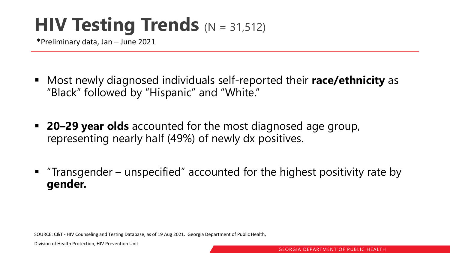### **HIV Testing Trends** (N = 31,512)

**\***Preliminary data, Jan – June 2021

- Most newly diagnosed individuals self-reported their **race/ethnicity** as "Black" followed by "Hispanic" and "White."
- **20–29 year olds** accounted for the most diagnosed age group, representing nearly half (49%) of newly dx positives.
- "Transgender unspecified" accounted for the highest positivity rate by **gender.**

SOURCE: C&T - HIV Counseling and Testing Database, as of 19 Aug 2021. Georgia Department of Public Health,

Division of Health Protection, HIV Prevention Unit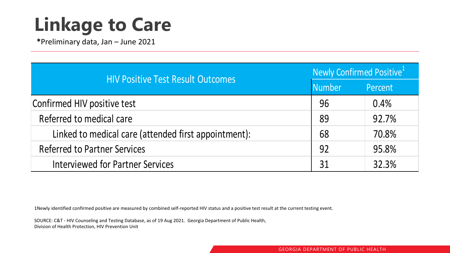# **Linkage to Care**

**\***Preliminary data, Jan – June 2021

| <b>HIV Positive Test Result Outcomes</b>             | Newly Confirmed Positive <sup>1</sup> |         |
|------------------------------------------------------|---------------------------------------|---------|
|                                                      | <b>Number</b>                         | Percent |
| Confirmed HIV positive test                          | 96                                    | 0.4%    |
| Referred to medical care                             | 89                                    | 92.7%   |
| Linked to medical care (attended first appointment): | 68                                    | 70.8%   |
| <b>Referred to Partner Services</b>                  | 92                                    | 95.8%   |
| <b>Interviewed for Partner Services</b>              | 31                                    | 32.3%   |

1Newly identified confirmed positive are measured by combined self-reported HIV status and a positive test result at the current testing event.

SOURCE: C&T - HIV Counseling and Testing Database, as of 19 Aug 2021. Georgia Department of Public Health, Division of Health Protection, HIV Prevention Unit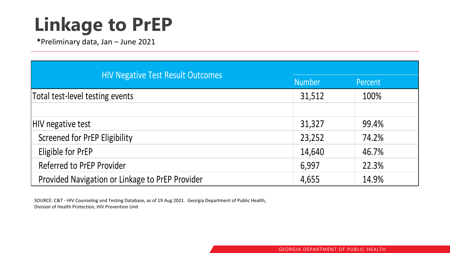# **Linkage to PrEP**

**\***Preliminary data, Jan – June 2021

| <b>HIV Negative Test Result Outcomes</b>        | <b>Number</b> | Percent |
|-------------------------------------------------|---------------|---------|
| Total test-level testing events                 | 31,512        | 100%    |
|                                                 |               |         |
| HIV negative test                               | 31,327        | 99.4%   |
| <b>Screened for PrEP Eligibility</b>            | 23,252        | 74.2%   |
| Eligible for PrEP                               | 14,640        | 46.7%   |
| <b>Referred to PrEP Provider</b>                | 6,997         | 22.3%   |
| Provided Navigation or Linkage to PrEP Provider | 4,655         | 14.9%   |

SOURCE: C&T - HIV Counseling and Testing Database, as of 19 Aug 2021. Georgia Department of Public Health, Division of Health Protection, HIV Prevention Unit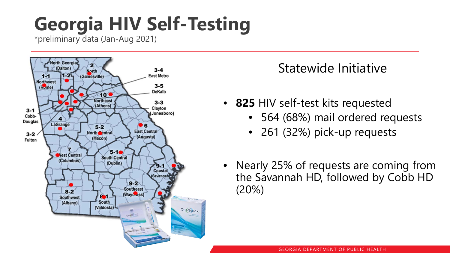# **Georgia HIV Self-Testing**

\*preliminary data (Jan-Aug 2021)



#### Statewide Initiative

- **825** HIV self-test kits requested
	- 564 (68%) mail ordered requests
	- 261 (32%) pick-up requests
- Nearly 25% of requests are coming from the Savannah HD, followed by Cobb HD (20%)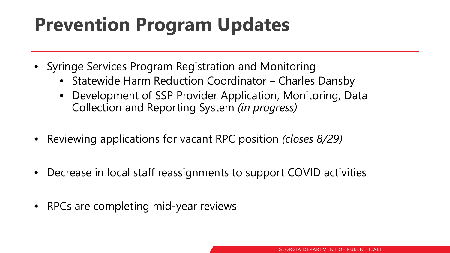## **Prevention Program Updates**

- Syringe Services Program Registration and Monitoring
	- Statewide Harm Reduction Coordinator Charles Dansby
	- Development of SSP Provider Application, Monitoring, Data Collection and Reporting System *(in progress)*
- Reviewing applications for vacant RPC position *(closes 8/29)*
- Decrease in local staff reassignments to support COVID activities
- RPCs are completing mid-year reviews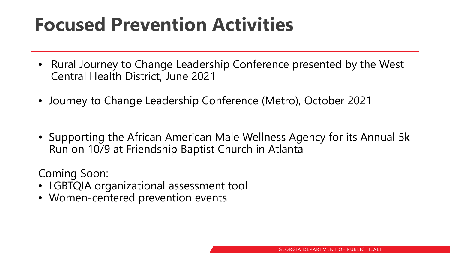### **Focused Prevention Activities**

- Rural Journey to Change Leadership Conference presented by the West Central Health District, June 2021
- Journey to Change Leadership Conference (Metro), October 2021
- Supporting the African American Male Wellness Agency for its Annual 5k Run on 10/9 at Friendship Baptist Church in Atlanta

Coming Soon:

- LGBTQIA organizational assessment tool
- Women-centered prevention events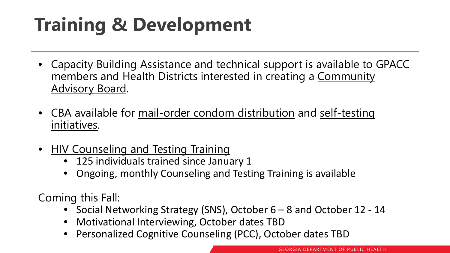# **Training & Development**

- Capacity Building Assistance and technical support is available to GPACC members and Health Districts interested in creating a Community Advisory Board.
- CBA available for mail-order condom distribution and self-testing initiatives.
- HIV Counseling and Testing Training
	- 125 individuals trained since January 1
	- Ongoing, monthly Counseling and Testing Training is available

Coming this Fall:

- Social Networking Strategy (SNS), October 6 8 and October 12 14
- Motivational Interviewing, October dates TBD
- Personalized Cognitive Counseling (PCC), October dates TBD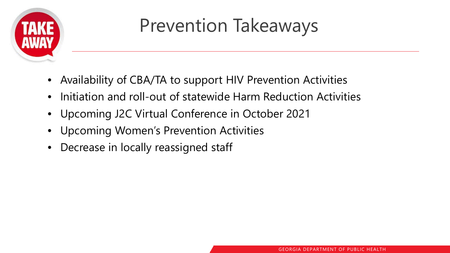

### Prevention Takeaways

- Availability of CBA/TA to support HIV Prevention Activities
- Initiation and roll-out of statewide Harm Reduction Activities
- Upcoming J2C Virtual Conference in October 2021
- Upcoming Women's Prevention Activities
- Decrease in locally reassigned staff